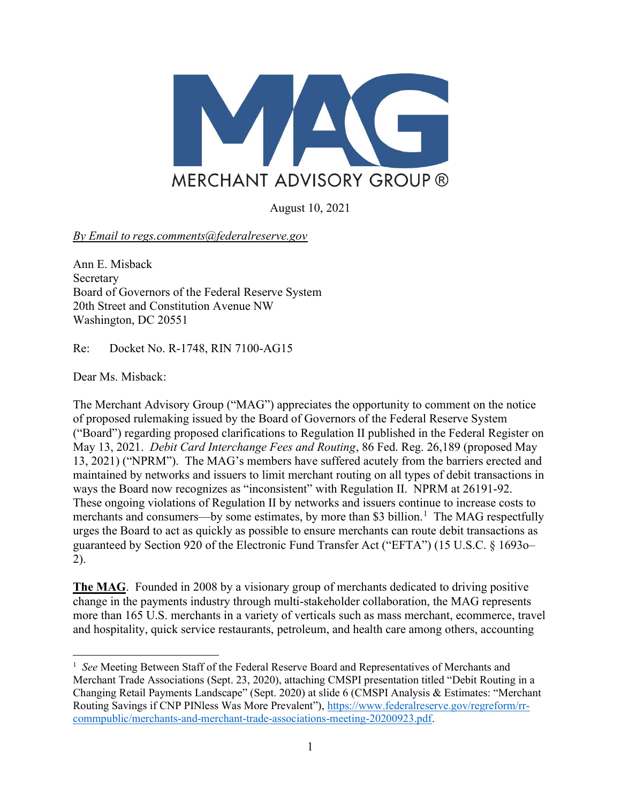

August 10, 2021

By Email to regs.comments@federalreserve.gov

Ann E. Misback Secretary Board of Governors of the Federal Reserve System 20th Street and Constitution Avenue NW Washington, DC 20551

Re: Docket No. R-1748, RIN 7100-AG15

Dear Ms. Misback:

The Merchant Advisory Group ("MAG") appreciates the opportunity to comment on the notice of proposed rulemaking issued by the Board of Governors of the Federal Reserve System ("Board") regarding proposed clarifications to Regulation II published in the Federal Register on May 13, 2021. Debit Card Interchange Fees and Routing, 86 Fed. Reg. 26,189 (proposed May 13, 2021) ("NPRM"). The MAG's members have suffered acutely from the barriers erected and maintained by networks and issuers to limit merchant routing on all types of debit transactions in ways the Board now recognizes as "inconsistent" with Regulation II. NPRM at 26191-92. These ongoing violations of Regulation II by networks and issuers continue to increase costs to merchants and consumers—by some estimates, by more than \$3 billion.<sup>1</sup> The MAG respectfully urges the Board to act as quickly as possible to ensure merchants can route debit transactions as guaranteed by Section 920 of the Electronic Fund Transfer Act ("EFTA") (15 U.S.C. § 1693o– 2).

The MAG. Founded in 2008 by a visionary group of merchants dedicated to driving positive change in the payments industry through multi-stakeholder collaboration, the MAG represents more than 165 U.S. merchants in a variety of verticals such as mass merchant, ecommerce, travel and hospitality, quick service restaurants, petroleum, and health care among others, accounting

<sup>&</sup>lt;sup>1</sup> See Meeting Between Staff of the Federal Reserve Board and Representatives of Merchants and Merchant Trade Associations (Sept. 23, 2020), attaching CMSPI presentation titled "Debit Routing in a Changing Retail Payments Landscape" (Sept. 2020) at slide 6 (CMSPI Analysis & Estimates: "Merchant Routing Savings if CNP PINless Was More Prevalent"), https://www.federalreserve.gov/regreform/rrcommpublic/merchants-and-merchant-trade-associations-meeting-20200923.pdf.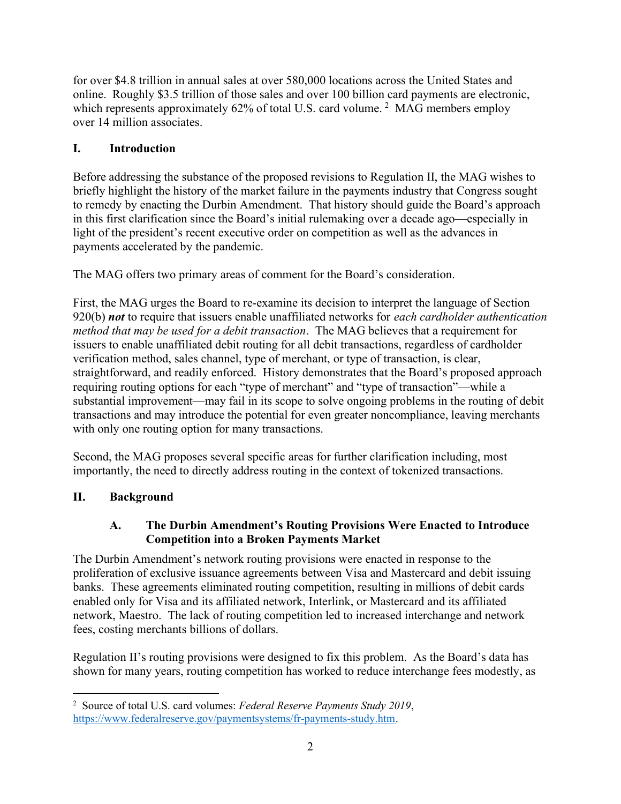for over \$4.8 trillion in annual sales at over 580,000 locations across the United States and online. Roughly \$3.5 trillion of those sales and over 100 billion card payments are electronic, which represents approximately  $62\%$  of total U.S. card volume.<sup>2</sup> MAG members employ over 14 million associates.

# I. Introduction

Before addressing the substance of the proposed revisions to Regulation II, the MAG wishes to briefly highlight the history of the market failure in the payments industry that Congress sought to remedy by enacting the Durbin Amendment. That history should guide the Board's approach in this first clarification since the Board's initial rulemaking over a decade ago—especially in light of the president's recent executive order on competition as well as the advances in payments accelerated by the pandemic.

The MAG offers two primary areas of comment for the Board's consideration.

First, the MAG urges the Board to re-examine its decision to interpret the language of Section 920(b) not to require that issuers enable unaffiliated networks for each cardholder authentication method that may be used for a debit transaction. The MAG believes that a requirement for issuers to enable unaffiliated debit routing for all debit transactions, regardless of cardholder verification method, sales channel, type of merchant, or type of transaction, is clear, straightforward, and readily enforced. History demonstrates that the Board's proposed approach requiring routing options for each "type of merchant" and "type of transaction"—while a substantial improvement—may fail in its scope to solve ongoing problems in the routing of debit transactions and may introduce the potential for even greater noncompliance, leaving merchants with only one routing option for many transactions.

Second, the MAG proposes several specific areas for further clarification including, most importantly, the need to directly address routing in the context of tokenized transactions.

## II. Background

### A. The Durbin Amendment's Routing Provisions Were Enacted to Introduce Competition into a Broken Payments Market

The Durbin Amendment's network routing provisions were enacted in response to the proliferation of exclusive issuance agreements between Visa and Mastercard and debit issuing banks. These agreements eliminated routing competition, resulting in millions of debit cards enabled only for Visa and its affiliated network, Interlink, or Mastercard and its affiliated network, Maestro. The lack of routing competition led to increased interchange and network fees, costing merchants billions of dollars.

Regulation II's routing provisions were designed to fix this problem. As the Board's data has shown for many years, routing competition has worked to reduce interchange fees modestly, as

<sup>&</sup>lt;sup>2</sup> Source of total U.S. card volumes: Federal Reserve Payments Study 2019, https://www.federalreserve.gov/paymentsystems/fr-payments-study.htm.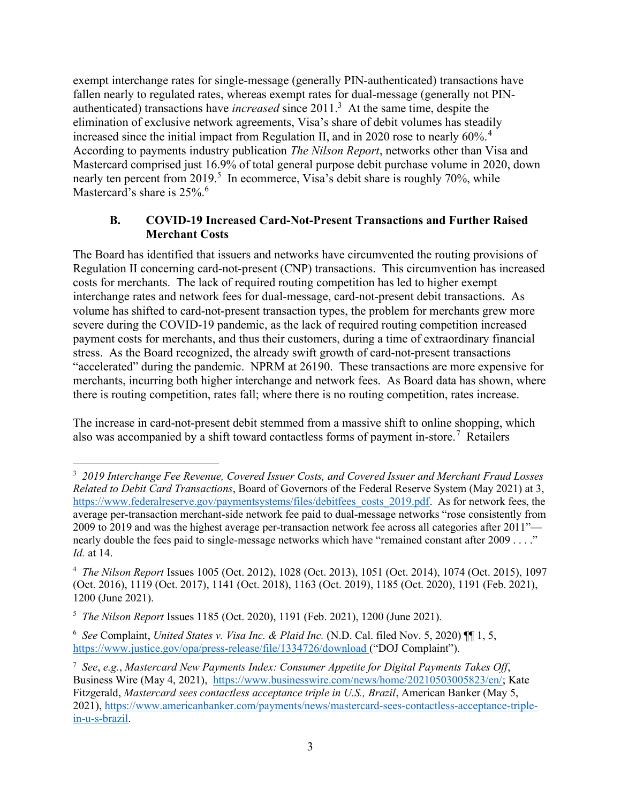exempt interchange rates for single-message (generally PIN-authenticated) transactions have fallen nearly to regulated rates, whereas exempt rates for dual-message (generally not PINauthenticated) transactions have *increased* since  $2011$ <sup>3</sup> At the same time, despite the elimination of exclusive network agreements, Visa's share of debit volumes has steadily increased since the initial impact from Regulation II, and in 2020 rose to nearly  $60\%$ .<sup>4</sup> According to payments industry publication The Nilson Report, networks other than Visa and Mastercard comprised just 16.9% of total general purpose debit purchase volume in 2020, down nearly ten percent from 2019.<sup>5</sup> In ecommerce, Visa's debit share is roughly 70%, while Mastercard's share is 25%.<sup>6</sup>

#### B. COVID-19 Increased Card-Not-Present Transactions and Further Raised Merchant Costs

The Board has identified that issuers and networks have circumvented the routing provisions of Regulation II concerning card-not-present (CNP) transactions. This circumvention has increased costs for merchants. The lack of required routing competition has led to higher exempt interchange rates and network fees for dual-message, card-not-present debit transactions. As volume has shifted to card-not-present transaction types, the problem for merchants grew more severe during the COVID-19 pandemic, as the lack of required routing competition increased payment costs for merchants, and thus their customers, during a time of extraordinary financial stress. As the Board recognized, the already swift growth of card-not-present transactions "accelerated" during the pandemic. NPRM at 26190. These transactions are more expensive for merchants, incurring both higher interchange and network fees. As Board data has shown, where there is routing competition, rates fall; where there is no routing competition, rates increase.

The increase in card-not-present debit stemmed from a massive shift to online shopping, which also was accompanied by a shift toward contactless forms of payment in-store.<sup>7</sup> Retailers

<sup>&</sup>lt;sup>3</sup> 2019 Interchange Fee Revenue, Covered Issuer Costs, and Covered Issuer and Merchant Fraud Losses Related to Debit Card Transactions, Board of Governors of the Federal Reserve System (May 2021) at 3, https://www.federalreserve.gov/paymentsystems/files/debitfees\_costs\_2019.pdf. As for network fees, the average per-transaction merchant-side network fee paid to dual-message networks "rose consistently from 2009 to 2019 and was the highest average per-transaction network fee across all categories after 2011" nearly double the fees paid to single-message networks which have "remained constant after 2009 . . . ." Id. at 14.

<sup>4</sup> The Nilson Report Issues 1005 (Oct. 2012), 1028 (Oct. 2013), 1051 (Oct. 2014), 1074 (Oct. 2015), 1097 (Oct. 2016), 1119 (Oct. 2017), 1141 (Oct. 2018), 1163 (Oct. 2019), 1185 (Oct. 2020), 1191 (Feb. 2021), 1200 (June 2021).

<sup>&</sup>lt;sup>5</sup> The Nilson Report Issues 1185 (Oct. 2020), 1191 (Feb. 2021), 1200 (June 2021).

<sup>&</sup>lt;sup>6</sup> See Complaint, United States v. Visa Inc. & Plaid Inc. (N.D. Cal. filed Nov. 5, 2020)  $\P$  1, 5, https://www.justice.gov/opa/press-release/file/1334726/download ("DOJ Complaint").

<sup>&</sup>lt;sup>7</sup> See, e.g., Mastercard New Payments Index: Consumer Appetite for Digital Payments Takes Off, Business Wire (May 4, 2021), https://www.businesswire.com/news/home/20210503005823/en/; Kate Fitzgerald, Mastercard sees contactless acceptance triple in U.S., Brazil, American Banker (May 5, 2021), https://www.americanbanker.com/payments/news/mastercard-sees-contactless-acceptance-triplein-u-s-brazil.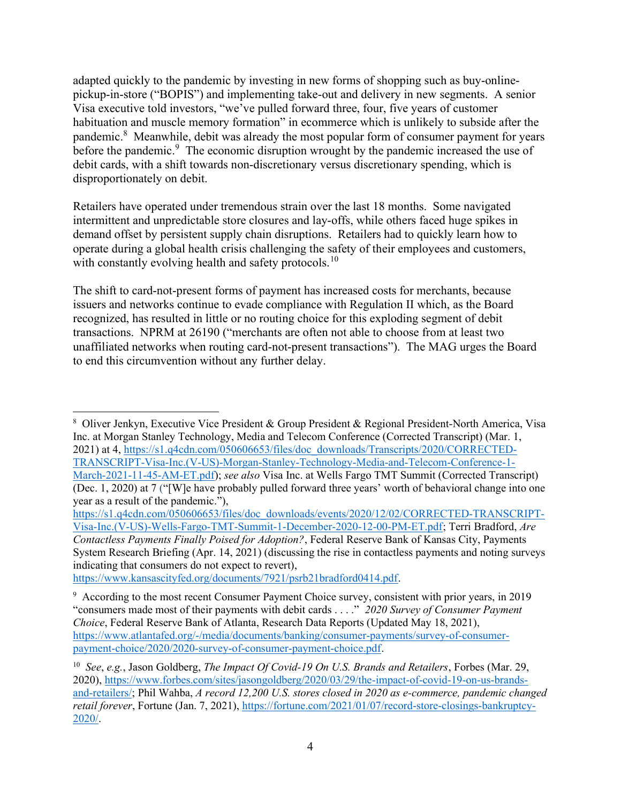adapted quickly to the pandemic by investing in new forms of shopping such as buy-onlinepickup-in-store ("BOPIS") and implementing take-out and delivery in new segments. A senior Visa executive told investors, "we've pulled forward three, four, five years of customer habituation and muscle memory formation" in ecommerce which is unlikely to subside after the pandemic.<sup>8</sup> Meanwhile, debit was already the most popular form of consumer payment for years before the pandemic.<sup>9</sup> The economic disruption wrought by the pandemic increased the use of debit cards, with a shift towards non-discretionary versus discretionary spending, which is disproportionately on debit.

Retailers have operated under tremendous strain over the last 18 months. Some navigated intermittent and unpredictable store closures and lay-offs, while others faced huge spikes in demand offset by persistent supply chain disruptions. Retailers had to quickly learn how to operate during a global health crisis challenging the safety of their employees and customers, with constantly evolving health and safety protocols.<sup>10</sup>

The shift to card-not-present forms of payment has increased costs for merchants, because issuers and networks continue to evade compliance with Regulation II which, as the Board recognized, has resulted in little or no routing choice for this exploding segment of debit transactions. NPRM at 26190 ("merchants are often not able to choose from at least two unaffiliated networks when routing card-not-present transactions"). The MAG urges the Board to end this circumvention without any further delay.

https://www.kansascityfed.org/documents/7921/psrb21bradford0414.pdf.

<sup>&</sup>lt;sup>8</sup> Oliver Jenkyn, Executive Vice President & Group President & Regional President-North America, Visa Inc. at Morgan Stanley Technology, Media and Telecom Conference (Corrected Transcript) (Mar. 1, 2021) at 4, https://s1.q4cdn.com/050606653/files/doc\_downloads/Transcripts/2020/CORRECTED-TRANSCRIPT-Visa-Inc.(V-US)-Morgan-Stanley-Technology-Media-and-Telecom-Conference-1- March-2021-11-45-AM-ET.pdf); see also Visa Inc. at Wells Fargo TMT Summit (Corrected Transcript) (Dec. 1, 2020) at 7 ("[W]e have probably pulled forward three years' worth of behavioral change into one year as a result of the pandemic."),

https://s1.q4cdn.com/050606653/files/doc\_downloads/events/2020/12/02/CORRECTED-TRANSCRIPT-Visa-Inc.(V-US)-Wells-Fargo-TMT-Summit-1-December-2020-12-00-PM-ET.pdf; Terri Bradford, Are Contactless Payments Finally Poised for Adoption?, Federal Reserve Bank of Kansas City, Payments System Research Briefing (Apr. 14, 2021) (discussing the rise in contactless payments and noting surveys indicating that consumers do not expect to revert),

<sup>&</sup>lt;sup>9</sup> According to the most recent Consumer Payment Choice survey, consistent with prior years, in 2019 "consumers made most of their payments with debit cards . . . ." 2020 Survey of Consumer Payment Choice, Federal Reserve Bank of Atlanta, Research Data Reports (Updated May 18, 2021), https://www.atlantafed.org/-/media/documents/banking/consumer-payments/survey-of-consumerpayment-choice/2020/2020-survey-of-consumer-payment-choice.pdf.

<sup>&</sup>lt;sup>10</sup> See, e.g., Jason Goldberg, The Impact Of Covid-19 On U.S. Brands and Retailers, Forbes (Mar. 29, 2020), https://www.forbes.com/sites/jasongoldberg/2020/03/29/the-impact-of-covid-19-on-us-brandsand-retailers/; Phil Wahba, A record 12,200 U.S. stores closed in 2020 as e-commerce, pandemic changed retail forever, Fortune (Jan. 7, 2021), https://fortune.com/2021/01/07/record-store-closings-bankruptcy-2020/.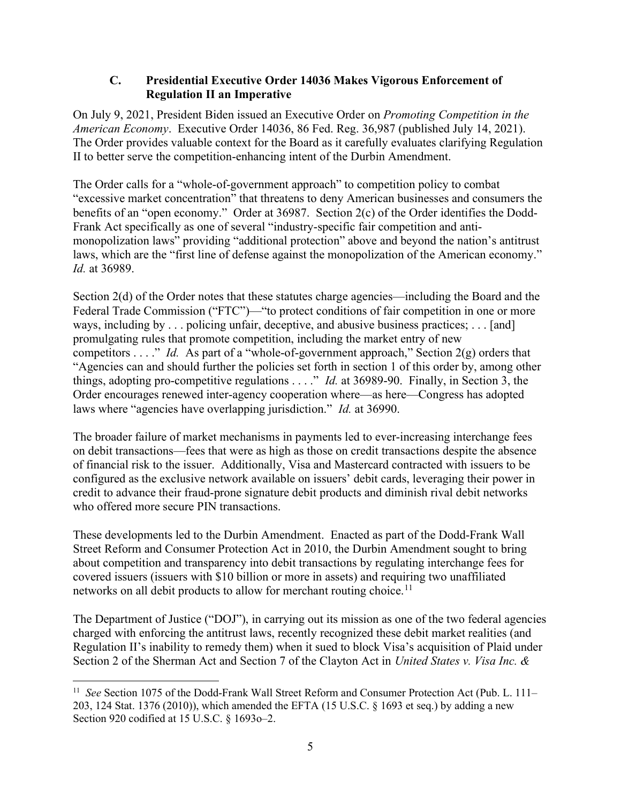#### C. Presidential Executive Order 14036 Makes Vigorous Enforcement of Regulation II an Imperative

On July 9, 2021, President Biden issued an Executive Order on Promoting Competition in the American Economy. Executive Order 14036, 86 Fed. Reg. 36,987 (published July 14, 2021). The Order provides valuable context for the Board as it carefully evaluates clarifying Regulation II to better serve the competition-enhancing intent of the Durbin Amendment.

The Order calls for a "whole-of-government approach" to competition policy to combat "excessive market concentration" that threatens to deny American businesses and consumers the benefits of an "open economy." Order at 36987. Section 2(c) of the Order identifies the Dodd-Frank Act specifically as one of several "industry-specific fair competition and antimonopolization laws" providing "additional protection" above and beyond the nation's antitrust laws, which are the "first line of defense against the monopolization of the American economy." Id. at 36989.

Section 2(d) of the Order notes that these statutes charge agencies—including the Board and the Federal Trade Commission ("FTC")—"to protect conditions of fair competition in one or more ways, including by . . . policing unfair, deceptive, and abusive business practices; . . . [and] promulgating rules that promote competition, including the market entry of new competitors . . . ." Id. As part of a "whole-of-government approach," Section  $2(g)$  orders that "Agencies can and should further the policies set forth in section 1 of this order by, among other things, adopting pro-competitive regulations  $\dots$ ." *Id.* at 36989-90. Finally, in Section 3, the Order encourages renewed inter-agency cooperation where—as here—Congress has adopted laws where "agencies have overlapping jurisdiction." *Id.* at 36990.

The broader failure of market mechanisms in payments led to ever-increasing interchange fees on debit transactions—fees that were as high as those on credit transactions despite the absence of financial risk to the issuer. Additionally, Visa and Mastercard contracted with issuers to be configured as the exclusive network available on issuers' debit cards, leveraging their power in credit to advance their fraud-prone signature debit products and diminish rival debit networks who offered more secure PIN transactions.

These developments led to the Durbin Amendment. Enacted as part of the Dodd-Frank Wall Street Reform and Consumer Protection Act in 2010, the Durbin Amendment sought to bring about competition and transparency into debit transactions by regulating interchange fees for covered issuers (issuers with \$10 billion or more in assets) and requiring two unaffiliated networks on all debit products to allow for merchant routing choice.<sup>11</sup>

The Department of Justice ("DOJ"), in carrying out its mission as one of the two federal agencies charged with enforcing the antitrust laws, recently recognized these debit market realities (and Regulation II's inability to remedy them) when it sued to block Visa's acquisition of Plaid under Section 2 of the Sherman Act and Section 7 of the Clayton Act in United States v. Visa Inc. &

<sup>&</sup>lt;sup>11</sup> See Section 1075 of the Dodd-Frank Wall Street Reform and Consumer Protection Act (Pub. L. 111-203, 124 Stat. 1376 (2010)), which amended the EFTA (15 U.S.C. § 1693 et seq.) by adding a new Section 920 codified at 15 U.S.C. § 1693o–2.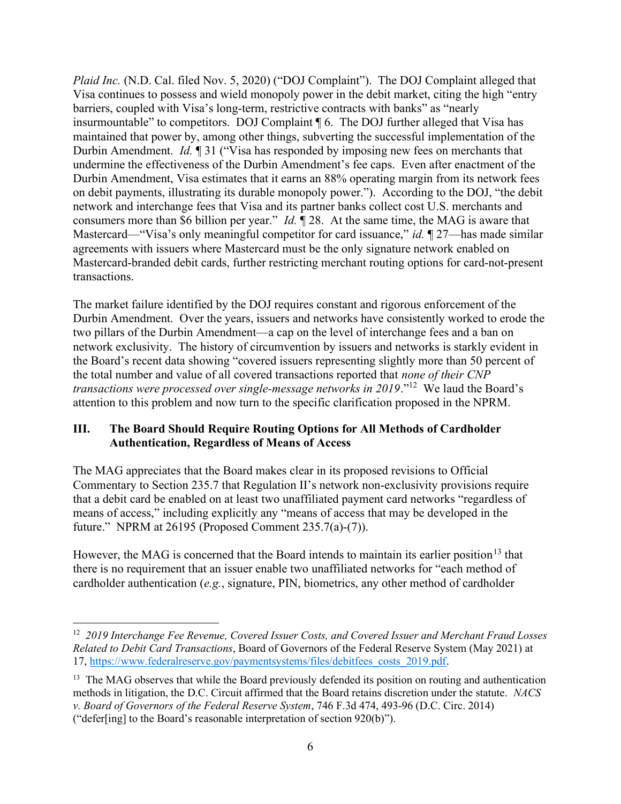Plaid Inc. (N.D. Cal. filed Nov. 5, 2020) ("DOJ Complaint"). The DOJ Complaint alleged that Visa continues to possess and wield monopoly power in the debit market, citing the high "entry barriers, coupled with Visa's long-term, restrictive contracts with banks" as "nearly insurmountable" to competitors. DOJ Complaint ¶ 6. The DOJ further alleged that Visa has maintained that power by, among other things, subverting the successful implementation of the Durbin Amendment. *Id.* 1 31 ("Visa has responded by imposing new fees on merchants that undermine the effectiveness of the Durbin Amendment's fee caps. Even after enactment of the Durbin Amendment, Visa estimates that it earns an 88% operating margin from its network fees on debit payments, illustrating its durable monopoly power."). According to the DOJ, "the debit network and interchange fees that Visa and its partner banks collect cost U.S. merchants and consumers more than \$6 billion per year." Id. ¶ 28. At the same time, the MAG is aware that Mastercard—"Visa's only meaningful competitor for card issuance," id. ¶ 27—has made similar agreements with issuers where Mastercard must be the only signature network enabled on Mastercard-branded debit cards, further restricting merchant routing options for card-not-present transactions.

The market failure identified by the DOJ requires constant and rigorous enforcement of the Durbin Amendment. Over the years, issuers and networks have consistently worked to erode the two pillars of the Durbin Amendment—a cap on the level of interchange fees and a ban on network exclusivity. The history of circumvention by issuers and networks is starkly evident in the Board's recent data showing "covered issuers representing slightly more than 50 percent of the total number and value of all covered transactions reported that none of their CNP transactions were processed over single-message networks in  $2019$ ."<sup>12</sup> We laud the Board's attention to this problem and now turn to the specific clarification proposed in the NPRM.

### III. The Board Should Require Routing Options for All Methods of Cardholder Authentication, Regardless of Means of Access

The MAG appreciates that the Board makes clear in its proposed revisions to Official Commentary to Section 235.7 that Regulation II's network non-exclusivity provisions require that a debit card be enabled on at least two unaffiliated payment card networks "regardless of means of access," including explicitly any "means of access that may be developed in the future." NPRM at 26195 (Proposed Comment 235.7(a)-(7)).

However, the MAG is concerned that the Board intends to maintain its earlier position<sup>13</sup> that there is no requirement that an issuer enable two unaffiliated networks for "each method of cardholder authentication (e.g., signature, PIN, biometrics, any other method of cardholder

 $12$  2019 Interchange Fee Revenue, Covered Issuer Costs, and Covered Issuer and Merchant Fraud Losses Related to Debit Card Transactions, Board of Governors of the Federal Reserve System (May 2021) at 17, https://www.federalreserve.gov/paymentsystems/files/debitfees\_costs\_2019.pdf.

<sup>&</sup>lt;sup>13</sup> The MAG observes that while the Board previously defended its position on routing and authentication methods in litigation, the D.C. Circuit affirmed that the Board retains discretion under the statute. NACS v. Board of Governors of the Federal Reserve System, 746 F.3d 474, 493-96 (D.C. Circ. 2014) ("defer[ing] to the Board's reasonable interpretation of section 920(b)").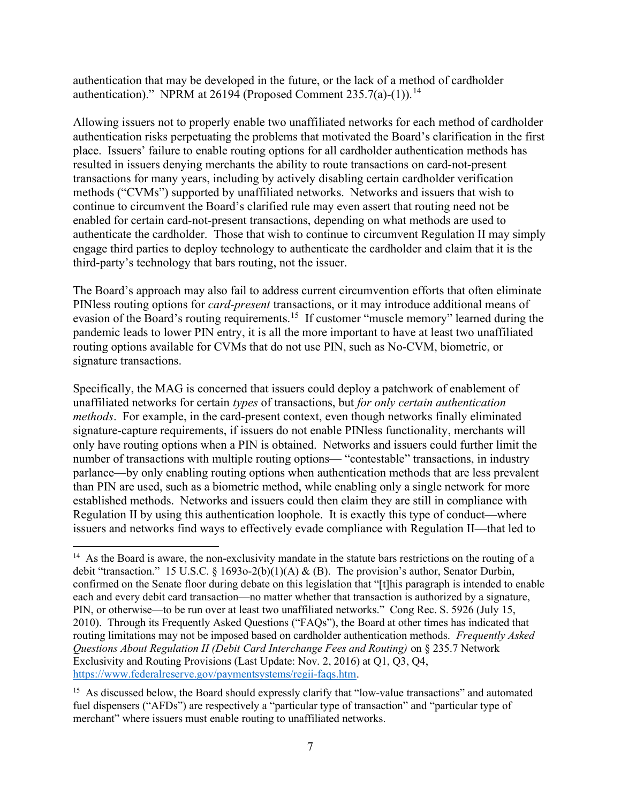authentication that may be developed in the future, or the lack of a method of cardholder authentication)." NPRM at 26194 (Proposed Comment 235.7(a)-(1)).<sup>14</sup>

Allowing issuers not to properly enable two unaffiliated networks for each method of cardholder authentication risks perpetuating the problems that motivated the Board's clarification in the first place. Issuers' failure to enable routing options for all cardholder authentication methods has resulted in issuers denying merchants the ability to route transactions on card-not-present transactions for many years, including by actively disabling certain cardholder verification methods ("CVMs") supported by unaffiliated networks. Networks and issuers that wish to continue to circumvent the Board's clarified rule may even assert that routing need not be enabled for certain card-not-present transactions, depending on what methods are used to authenticate the cardholder. Those that wish to continue to circumvent Regulation II may simply engage third parties to deploy technology to authenticate the cardholder and claim that it is the third-party's technology that bars routing, not the issuer.

The Board's approach may also fail to address current circumvention efforts that often eliminate PINless routing options for *card-present* transactions, or it may introduce additional means of evasion of the Board's routing requirements.<sup>15</sup> If customer "muscle memory" learned during the pandemic leads to lower PIN entry, it is all the more important to have at least two unaffiliated routing options available for CVMs that do not use PIN, such as No-CVM, biometric, or signature transactions.

Specifically, the MAG is concerned that issuers could deploy a patchwork of enablement of unaffiliated networks for certain types of transactions, but for only certain authentication methods. For example, in the card-present context, even though networks finally eliminated signature-capture requirements, if issuers do not enable PINless functionality, merchants will only have routing options when a PIN is obtained. Networks and issuers could further limit the number of transactions with multiple routing options— "contestable" transactions, in industry parlance—by only enabling routing options when authentication methods that are less prevalent than PIN are used, such as a biometric method, while enabling only a single network for more established methods. Networks and issuers could then claim they are still in compliance with Regulation II by using this authentication loophole. It is exactly this type of conduct—where issuers and networks find ways to effectively evade compliance with Regulation II—that led to

<sup>&</sup>lt;sup>14</sup> As the Board is aware, the non-exclusivity mandate in the statute bars restrictions on the routing of a debit "transaction." 15 U.S.C. § 1693o-2(b)(1)(A) & (B). The provision's author, Senator Durbin, confirmed on the Senate floor during debate on this legislation that "[t]his paragraph is intended to enable each and every debit card transaction—no matter whether that transaction is authorized by a signature, PIN, or otherwise—to be run over at least two unaffiliated networks." Cong Rec. S. 5926 (July 15, 2010). Through its Frequently Asked Questions ("FAQs"), the Board at other times has indicated that routing limitations may not be imposed based on cardholder authentication methods. Frequently Asked Questions About Regulation II (Debit Card Interchange Fees and Routing) on § 235.7 Network Exclusivity and Routing Provisions (Last Update: Nov. 2, 2016) at Q1, Q3, Q4, https://www.federalreserve.gov/paymentsystems/regii-faqs.htm.

<sup>&</sup>lt;sup>15</sup> As discussed below, the Board should expressly clarify that "low-value transactions" and automated fuel dispensers ("AFDs") are respectively a "particular type of transaction" and "particular type of merchant" where issuers must enable routing to unaffiliated networks.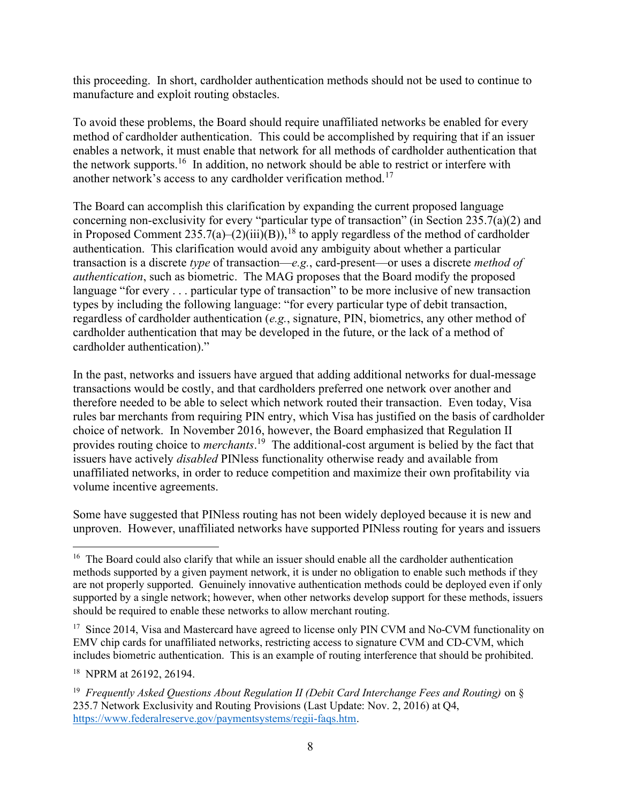this proceeding. In short, cardholder authentication methods should not be used to continue to manufacture and exploit routing obstacles.

To avoid these problems, the Board should require unaffiliated networks be enabled for every method of cardholder authentication. This could be accomplished by requiring that if an issuer enables a network, it must enable that network for all methods of cardholder authentication that the network supports.<sup>16</sup> In addition, no network should be able to restrict or interfere with another network's access to any cardholder verification method.<sup>17</sup>

The Board can accomplish this clarification by expanding the current proposed language concerning non-exclusivity for every "particular type of transaction" (in Section 235.7(a)(2) and in Proposed Comment  $235.7(a)-(2)(iii)(B)$ ,<sup>18</sup> to apply regardless of the method of cardholder authentication. This clarification would avoid any ambiguity about whether a particular transaction is a discrete type of transaction—e.g., card-present—or uses a discrete method of authentication, such as biometric. The MAG proposes that the Board modify the proposed language "for every . . . particular type of transaction" to be more inclusive of new transaction types by including the following language: "for every particular type of debit transaction, regardless of cardholder authentication (e.g., signature, PIN, biometrics, any other method of cardholder authentication that may be developed in the future, or the lack of a method of cardholder authentication)."

In the past, networks and issuers have argued that adding additional networks for dual-message transactions would be costly, and that cardholders preferred one network over another and therefore needed to be able to select which network routed their transaction. Even today, Visa rules bar merchants from requiring PIN entry, which Visa has justified on the basis of cardholder choice of network. In November 2016, however, the Board emphasized that Regulation II provides routing choice to *merchants*.<sup>19</sup> The additional-cost argument is belied by the fact that issuers have actively disabled PINless functionality otherwise ready and available from unaffiliated networks, in order to reduce competition and maximize their own profitability via volume incentive agreements.

Some have suggested that PINless routing has not been widely deployed because it is new and unproven. However, unaffiliated networks have supported PINless routing for years and issuers

<sup>17</sup> Since 2014, Visa and Mastercard have agreed to license only PIN CVM and No-CVM functionality on EMV chip cards for unaffiliated networks, restricting access to signature CVM and CD-CVM, which includes biometric authentication. This is an example of routing interference that should be prohibited.

<sup>18</sup> NPRM at 26192, 26194.

<sup>&</sup>lt;sup>16</sup> The Board could also clarify that while an issuer should enable all the cardholder authentication methods supported by a given payment network, it is under no obligation to enable such methods if they are not properly supported. Genuinely innovative authentication methods could be deployed even if only supported by a single network; however, when other networks develop support for these methods, issuers should be required to enable these networks to allow merchant routing.

<sup>&</sup>lt;sup>19</sup> Frequently Asked Questions About Regulation II (Debit Card Interchange Fees and Routing) on  $\S$ 235.7 Network Exclusivity and Routing Provisions (Last Update: Nov. 2, 2016) at Q4, https://www.federalreserve.gov/paymentsystems/regii-faqs.htm.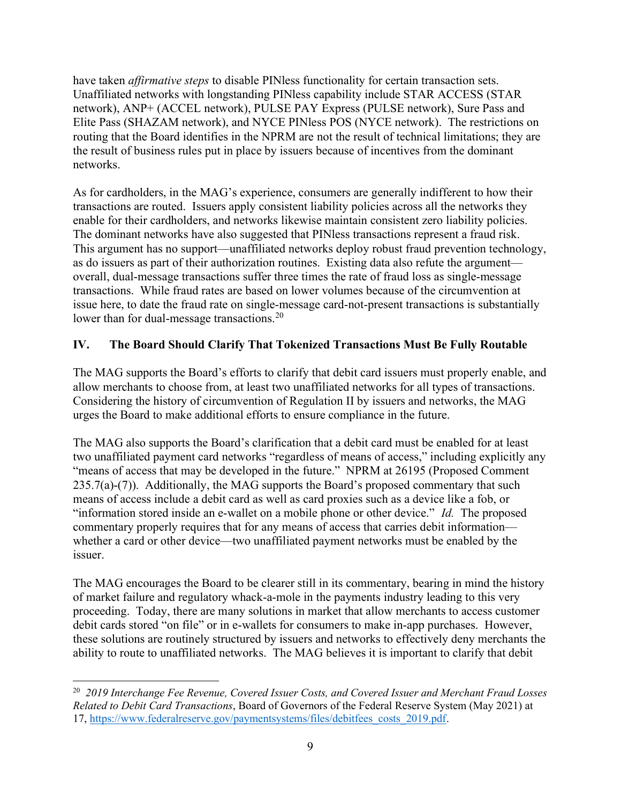have taken *affirmative steps* to disable PINless functionality for certain transaction sets. Unaffiliated networks with longstanding PINless capability include STAR ACCESS (STAR network), ANP+ (ACCEL network), PULSE PAY Express (PULSE network), Sure Pass and Elite Pass (SHAZAM network), and NYCE PINless POS (NYCE network). The restrictions on routing that the Board identifies in the NPRM are not the result of technical limitations; they are the result of business rules put in place by issuers because of incentives from the dominant networks.

As for cardholders, in the MAG's experience, consumers are generally indifferent to how their transactions are routed. Issuers apply consistent liability policies across all the networks they enable for their cardholders, and networks likewise maintain consistent zero liability policies. The dominant networks have also suggested that PINless transactions represent a fraud risk. This argument has no support—unaffiliated networks deploy robust fraud prevention technology, as do issuers as part of their authorization routines. Existing data also refute the argument overall, dual-message transactions suffer three times the rate of fraud loss as single-message transactions. While fraud rates are based on lower volumes because of the circumvention at issue here, to date the fraud rate on single-message card-not-present transactions is substantially lower than for dual-message transactions.<sup>20</sup>

### IV. The Board Should Clarify That Tokenized Transactions Must Be Fully Routable

The MAG supports the Board's efforts to clarify that debit card issuers must properly enable, and allow merchants to choose from, at least two unaffiliated networks for all types of transactions. Considering the history of circumvention of Regulation II by issuers and networks, the MAG urges the Board to make additional efforts to ensure compliance in the future.

The MAG also supports the Board's clarification that a debit card must be enabled for at least two unaffiliated payment card networks "regardless of means of access," including explicitly any "means of access that may be developed in the future." NPRM at 26195 (Proposed Comment  $235.7(a)-(7)$ ). Additionally, the MAG supports the Board's proposed commentary that such means of access include a debit card as well as card proxies such as a device like a fob, or "information stored inside an e-wallet on a mobile phone or other device." Id. The proposed commentary properly requires that for any means of access that carries debit information whether a card or other device—two unaffiliated payment networks must be enabled by the issuer.

The MAG encourages the Board to be clearer still in its commentary, bearing in mind the history of market failure and regulatory whack-a-mole in the payments industry leading to this very proceeding. Today, there are many solutions in market that allow merchants to access customer debit cards stored "on file" or in e-wallets for consumers to make in-app purchases. However, these solutions are routinely structured by issuers and networks to effectively deny merchants the ability to route to unaffiliated networks. The MAG believes it is important to clarify that debit

<sup>&</sup>lt;sup>20</sup> 2019 Interchange Fee Revenue, Covered Issuer Costs, and Covered Issuer and Merchant Fraud Losses Related to Debit Card Transactions, Board of Governors of the Federal Reserve System (May 2021) at 17, https://www.federalreserve.gov/paymentsystems/files/debitfees\_costs\_2019.pdf.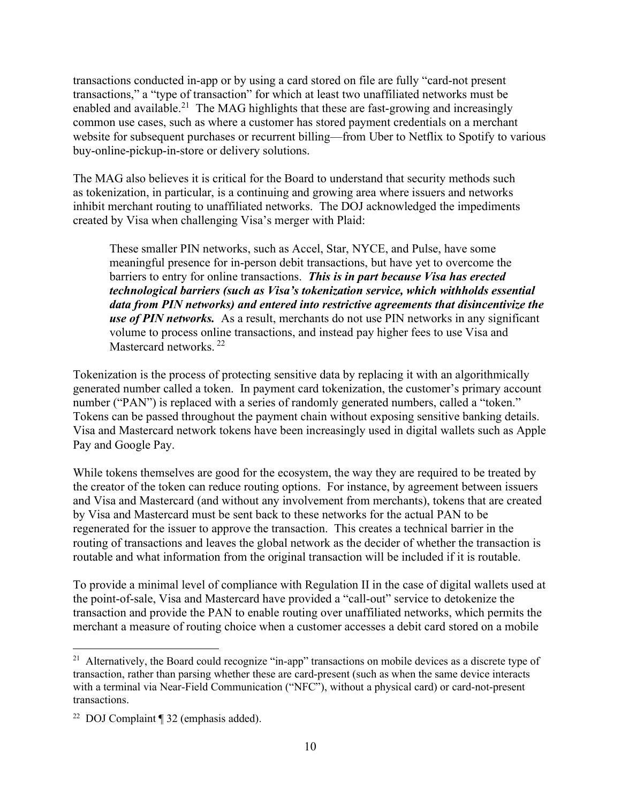transactions conducted in-app or by using a card stored on file are fully "card-not present transactions," a "type of transaction" for which at least two unaffiliated networks must be enabled and available.<sup>21</sup> The MAG highlights that these are fast-growing and increasingly common use cases, such as where a customer has stored payment credentials on a merchant website for subsequent purchases or recurrent billing—from Uber to Netflix to Spotify to various buy-online-pickup-in-store or delivery solutions.

The MAG also believes it is critical for the Board to understand that security methods such as tokenization, in particular, is a continuing and growing area where issuers and networks inhibit merchant routing to unaffiliated networks. The DOJ acknowledged the impediments created by Visa when challenging Visa's merger with Plaid:

These smaller PIN networks, such as Accel, Star, NYCE, and Pulse, have some meaningful presence for in-person debit transactions, but have yet to overcome the barriers to entry for online transactions. This is in part because Visa has erected technological barriers (such as Visa's tokenization service, which withholds essential data from PIN networks) and entered into restrictive agreements that disincentivize the use of PIN networks. As a result, merchants do not use PIN networks in any significant volume to process online transactions, and instead pay higher fees to use Visa and Mastercard networks.<sup>22</sup>

Tokenization is the process of protecting sensitive data by replacing it with an algorithmically generated number called a token. In payment card tokenization, the customer's primary account number ("PAN") is replaced with a series of randomly generated numbers, called a "token." Tokens can be passed throughout the payment chain without exposing sensitive banking details. Visa and Mastercard network tokens have been increasingly used in digital wallets such as Apple Pay and Google Pay.

While tokens themselves are good for the ecosystem, the way they are required to be treated by the creator of the token can reduce routing options. For instance, by agreement between issuers and Visa and Mastercard (and without any involvement from merchants), tokens that are created by Visa and Mastercard must be sent back to these networks for the actual PAN to be regenerated for the issuer to approve the transaction. This creates a technical barrier in the routing of transactions and leaves the global network as the decider of whether the transaction is routable and what information from the original transaction will be included if it is routable.

To provide a minimal level of compliance with Regulation II in the case of digital wallets used at the point-of-sale, Visa and Mastercard have provided a "call-out" service to detokenize the transaction and provide the PAN to enable routing over unaffiliated networks, which permits the merchant a measure of routing choice when a customer accesses a debit card stored on a mobile

<sup>&</sup>lt;sup>21</sup> Alternatively, the Board could recognize "in-app" transactions on mobile devices as a discrete type of transaction, rather than parsing whether these are card-present (such as when the same device interacts with a terminal via Near-Field Communication ("NFC"), without a physical card) or card-not-present transactions.

<sup>22</sup> DOJ Complaint ¶ 32 (emphasis added).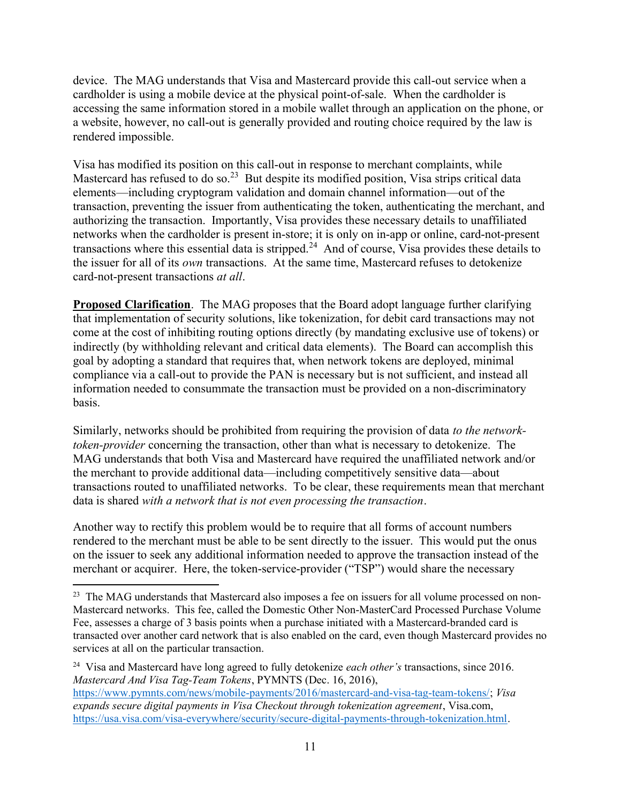device. The MAG understands that Visa and Mastercard provide this call-out service when a cardholder is using a mobile device at the physical point-of-sale. When the cardholder is accessing the same information stored in a mobile wallet through an application on the phone, or a website, however, no call-out is generally provided and routing choice required by the law is rendered impossible.

Visa has modified its position on this call-out in response to merchant complaints, while Mastercard has refused to do so.<sup>23</sup> But despite its modified position, Visa strips critical data elements—including cryptogram validation and domain channel information—out of the transaction, preventing the issuer from authenticating the token, authenticating the merchant, and authorizing the transaction. Importantly, Visa provides these necessary details to unaffiliated networks when the cardholder is present in-store; it is only on in-app or online, card-not-present transactions where this essential data is stripped.<sup>24</sup> And of course, Visa provides these details to the issuer for all of its own transactions. At the same time, Mastercard refuses to detokenize card-not-present transactions at all.

Proposed Clarification. The MAG proposes that the Board adopt language further clarifying that implementation of security solutions, like tokenization, for debit card transactions may not come at the cost of inhibiting routing options directly (by mandating exclusive use of tokens) or indirectly (by withholding relevant and critical data elements). The Board can accomplish this goal by adopting a standard that requires that, when network tokens are deployed, minimal compliance via a call-out to provide the PAN is necessary but is not sufficient, and instead all information needed to consummate the transaction must be provided on a non-discriminatory basis.

Similarly, networks should be prohibited from requiring the provision of data to the networktoken-provider concerning the transaction, other than what is necessary to detokenize. The MAG understands that both Visa and Mastercard have required the unaffiliated network and/or the merchant to provide additional data—including competitively sensitive data—about transactions routed to unaffiliated networks. To be clear, these requirements mean that merchant data is shared with a network that is not even processing the transaction.

Another way to rectify this problem would be to require that all forms of account numbers rendered to the merchant must be able to be sent directly to the issuer. This would put the onus on the issuer to seek any additional information needed to approve the transaction instead of the merchant or acquirer. Here, the token-service-provider ("TSP") would share the necessary

<sup>&</sup>lt;sup>23</sup> The MAG understands that Mastercard also imposes a fee on issuers for all volume processed on non-Mastercard networks. This fee, called the Domestic Other Non-MasterCard Processed Purchase Volume Fee, assesses a charge of 3 basis points when a purchase initiated with a Mastercard-branded card is transacted over another card network that is also enabled on the card, even though Mastercard provides no services at all on the particular transaction.

<sup>&</sup>lt;sup>24</sup> Visa and Mastercard have long agreed to fully detokenize *each other's* transactions, since 2016. Mastercard And Visa Tag-Team Tokens, PYMNTS (Dec. 16, 2016),

https://www.pymnts.com/news/mobile-payments/2016/mastercard-and-visa-tag-team-tokens/; Visa expands secure digital payments in Visa Checkout through tokenization agreement, Visa.com, https://usa.visa.com/visa-everywhere/security/secure-digital-payments-through-tokenization.html.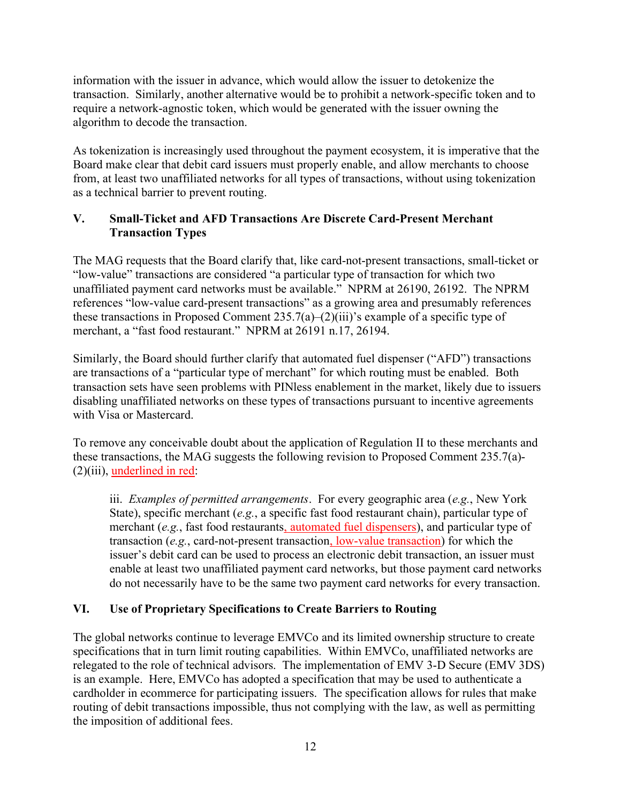information with the issuer in advance, which would allow the issuer to detokenize the transaction. Similarly, another alternative would be to prohibit a network-specific token and to require a network-agnostic token, which would be generated with the issuer owning the algorithm to decode the transaction.

As tokenization is increasingly used throughout the payment ecosystem, it is imperative that the Board make clear that debit card issuers must properly enable, and allow merchants to choose from, at least two unaffiliated networks for all types of transactions, without using tokenization as a technical barrier to prevent routing.

### V. Small-Ticket and AFD Transactions Are Discrete Card-Present Merchant Transaction Types

The MAG requests that the Board clarify that, like card-not-present transactions, small-ticket or "low-value" transactions are considered "a particular type of transaction for which two unaffiliated payment card networks must be available." NPRM at 26190, 26192. The NPRM references "low-value card-present transactions" as a growing area and presumably references these transactions in Proposed Comment  $235.7(a)$ – $(2)(iii)$ 's example of a specific type of merchant, a "fast food restaurant." NPRM at 26191 n.17, 26194.

Similarly, the Board should further clarify that automated fuel dispenser ("AFD") transactions are transactions of a "particular type of merchant" for which routing must be enabled. Both transaction sets have seen problems with PINless enablement in the market, likely due to issuers disabling unaffiliated networks on these types of transactions pursuant to incentive agreements with Visa or Mastercard.

To remove any conceivable doubt about the application of Regulation II to these merchants and these transactions, the MAG suggests the following revision to Proposed Comment 235.7(a)- (2)(iii), underlined in red:

iii. *Examples of permitted arrangements*. For every geographic area  $(e.g., New York)$ State), specific merchant (e.g., a specific fast food restaurant chain), particular type of merchant (e.g., fast food restaurants, automated fuel dispensers), and particular type of transaction (e.g., card-not-present transaction, low-value transaction) for which the issuer's debit card can be used to process an electronic debit transaction, an issuer must enable at least two unaffiliated payment card networks, but those payment card networks do not necessarily have to be the same two payment card networks for every transaction.

## VI. Use of Proprietary Specifications to Create Barriers to Routing

The global networks continue to leverage EMVCo and its limited ownership structure to create specifications that in turn limit routing capabilities. Within EMVCo, unaffiliated networks are relegated to the role of technical advisors. The implementation of EMV 3-D Secure (EMV 3DS) is an example. Here, EMVCo has adopted a specification that may be used to authenticate a cardholder in ecommerce for participating issuers. The specification allows for rules that make routing of debit transactions impossible, thus not complying with the law, as well as permitting the imposition of additional fees.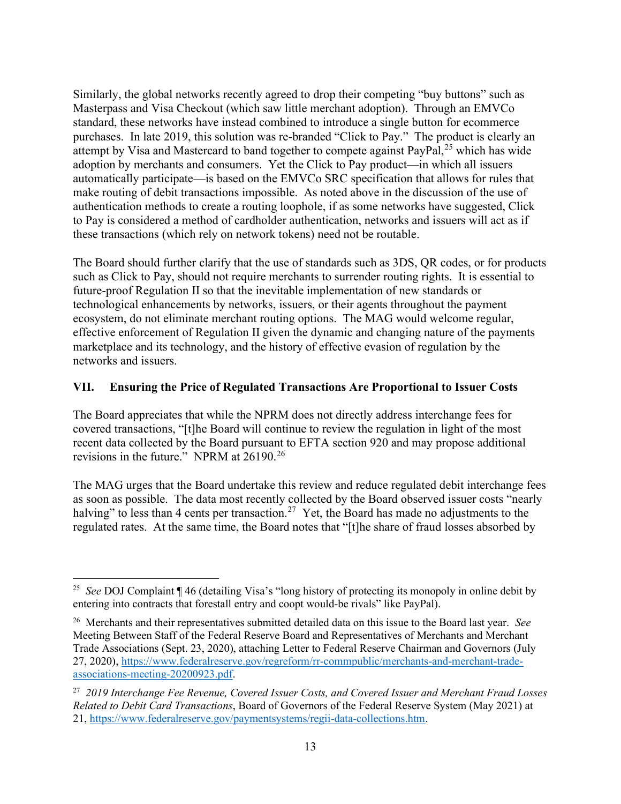Similarly, the global networks recently agreed to drop their competing "buy buttons" such as Masterpass and Visa Checkout (which saw little merchant adoption). Through an EMVCo standard, these networks have instead combined to introduce a single button for ecommerce purchases. In late 2019, this solution was re-branded "Click to Pay." The product is clearly an attempt by Visa and Mastercard to band together to compete against  $PayPal<sub>1</sub><sup>25</sup>$  which has wide adoption by merchants and consumers. Yet the Click to Pay product—in which all issuers automatically participate—is based on the EMVCo SRC specification that allows for rules that make routing of debit transactions impossible. As noted above in the discussion of the use of authentication methods to create a routing loophole, if as some networks have suggested, Click to Pay is considered a method of cardholder authentication, networks and issuers will act as if these transactions (which rely on network tokens) need not be routable.

The Board should further clarify that the use of standards such as 3DS, QR codes, or for products such as Click to Pay, should not require merchants to surrender routing rights. It is essential to future-proof Regulation II so that the inevitable implementation of new standards or technological enhancements by networks, issuers, or their agents throughout the payment ecosystem, do not eliminate merchant routing options. The MAG would welcome regular, effective enforcement of Regulation II given the dynamic and changing nature of the payments marketplace and its technology, and the history of effective evasion of regulation by the networks and issuers.

#### VII. Ensuring the Price of Regulated Transactions Are Proportional to Issuer Costs

The Board appreciates that while the NPRM does not directly address interchange fees for covered transactions, "[t]he Board will continue to review the regulation in light of the most recent data collected by the Board pursuant to EFTA section 920 and may propose additional revisions in the future." NPRM at 26190.<sup>26</sup>

The MAG urges that the Board undertake this review and reduce regulated debit interchange fees as soon as possible. The data most recently collected by the Board observed issuer costs "nearly halving" to less than 4 cents per transaction.<sup>27</sup> Yet, the Board has made no adjustments to the regulated rates. At the same time, the Board notes that "[t]he share of fraud losses absorbed by

<sup>&</sup>lt;sup>25</sup> See DOJ Complaint  $\P$  46 (detailing Visa's "long history of protecting its monopoly in online debit by entering into contracts that forestall entry and coopt would-be rivals" like PayPal).

<sup>&</sup>lt;sup>26</sup> Merchants and their representatives submitted detailed data on this issue to the Board last year. See Meeting Between Staff of the Federal Reserve Board and Representatives of Merchants and Merchant Trade Associations (Sept. 23, 2020), attaching Letter to Federal Reserve Chairman and Governors (July 27, 2020), https://www.federalreserve.gov/regreform/rr-commpublic/merchants-and-merchant-tradeassociations-meeting-20200923.pdf.

<sup>&</sup>lt;sup>27</sup> 2019 Interchange Fee Revenue, Covered Issuer Costs, and Covered Issuer and Merchant Fraud Losses Related to Debit Card Transactions, Board of Governors of the Federal Reserve System (May 2021) at 21, https://www.federalreserve.gov/paymentsystems/regii-data-collections.htm.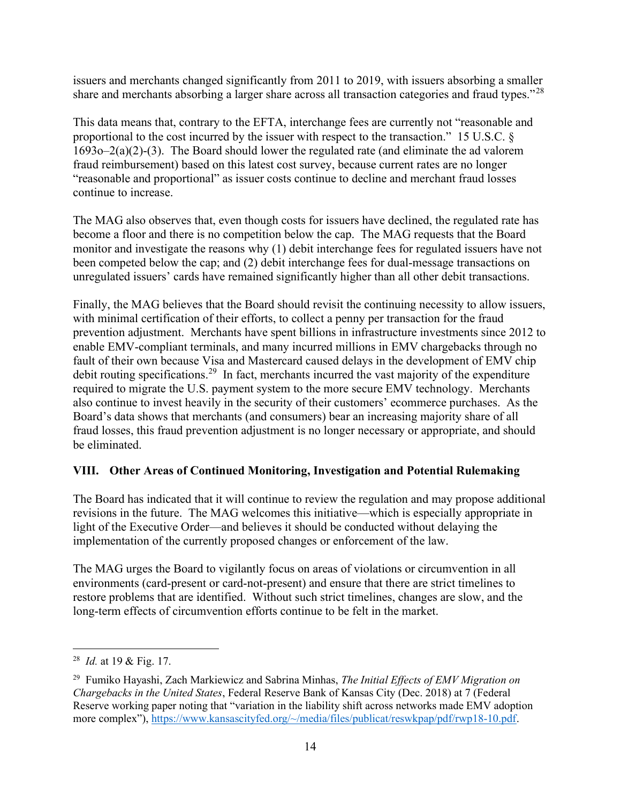issuers and merchants changed significantly from 2011 to 2019, with issuers absorbing a smaller share and merchants absorbing a larger share across all transaction categories and fraud types."<sup>28</sup>

This data means that, contrary to the EFTA, interchange fees are currently not "reasonable and proportional to the cost incurred by the issuer with respect to the transaction." 15 U.S.C. § 1693o–2(a)(2)-(3). The Board should lower the regulated rate (and eliminate the ad valorem fraud reimbursement) based on this latest cost survey, because current rates are no longer "reasonable and proportional" as issuer costs continue to decline and merchant fraud losses continue to increase.

The MAG also observes that, even though costs for issuers have declined, the regulated rate has become a floor and there is no competition below the cap. The MAG requests that the Board monitor and investigate the reasons why (1) debit interchange fees for regulated issuers have not been competed below the cap; and (2) debit interchange fees for dual-message transactions on unregulated issuers' cards have remained significantly higher than all other debit transactions.

Finally, the MAG believes that the Board should revisit the continuing necessity to allow issuers, with minimal certification of their efforts, to collect a penny per transaction for the fraud prevention adjustment. Merchants have spent billions in infrastructure investments since 2012 to enable EMV-compliant terminals, and many incurred millions in EMV chargebacks through no fault of their own because Visa and Mastercard caused delays in the development of EMV chip debit routing specifications.<sup>29</sup> In fact, merchants incurred the vast majority of the expenditure required to migrate the U.S. payment system to the more secure EMV technology. Merchants also continue to invest heavily in the security of their customers' ecommerce purchases. As the Board's data shows that merchants (and consumers) bear an increasing majority share of all fraud losses, this fraud prevention adjustment is no longer necessary or appropriate, and should be eliminated.

#### VIII. Other Areas of Continued Monitoring, Investigation and Potential Rulemaking

The Board has indicated that it will continue to review the regulation and may propose additional revisions in the future. The MAG welcomes this initiative—which is especially appropriate in light of the Executive Order—and believes it should be conducted without delaying the implementation of the currently proposed changes or enforcement of the law.

The MAG urges the Board to vigilantly focus on areas of violations or circumvention in all environments (card-present or card-not-present) and ensure that there are strict timelines to restore problems that are identified. Without such strict timelines, changes are slow, and the long-term effects of circumvention efforts continue to be felt in the market.

<sup>&</sup>lt;sup>28</sup> *Id.* at 19 & Fig. 17.

<sup>&</sup>lt;sup>29</sup> Fumiko Hayashi, Zach Markiewicz and Sabrina Minhas, *The Initial Effects of EMV Migration on* Chargebacks in the United States, Federal Reserve Bank of Kansas City (Dec. 2018) at 7 (Federal Reserve working paper noting that "variation in the liability shift across networks made EMV adoption more complex"), https://www.kansascityfed.org/~/media/files/publicat/reswkpap/pdf/rwp18-10.pdf.